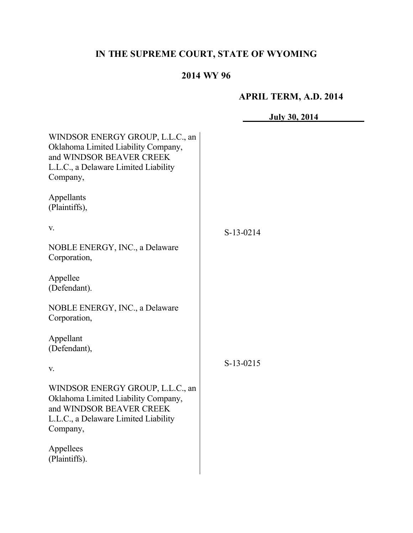# **IN THE SUPREME COURT, STATE OF WYOMING**

# **2014 WY 96**

## **APRIL TERM, A.D. 2014**

**July 30, 2014** WINDSOR ENERGY GROUP, L.L.C., an Oklahoma Limited Liability Company, and WINDSOR BEAVER CREEK L.L.C., a Delaware Limited Liability Company, Appellants (Plaintiffs), v. NOBLE ENERGY, INC., a Delaware Corporation, Appellee (Defendant). NOBLE ENERGY, INC., a Delaware Corporation, Appellant (Defendant), v. WINDSOR ENERGY GROUP, L.L.C., an Oklahoma Limited Liability Company, and WINDSOR BEAVER CREEK L.L.C., a Delaware Limited Liability Company, Appellees (Plaintiffs). S-13-0214 S-13-0215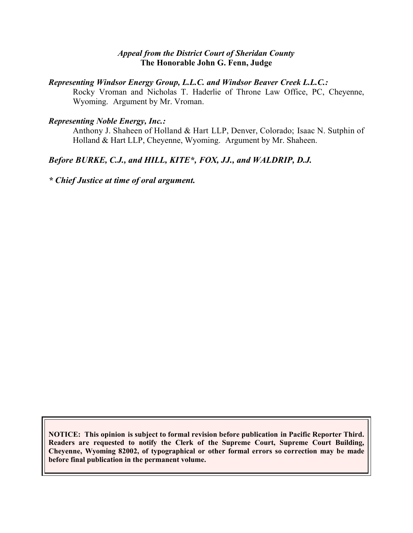### *Appeal from the District Court of Sheridan County* **The Honorable John G. Fenn, Judge**

#### *Representing Windsor Energy Group, L.L.C. and Windsor Beaver Creek L.L.C.:*

Rocky Vroman and Nicholas T. Haderlie of Throne Law Office, PC, Cheyenne, Wyoming. Argument by Mr. Vroman.

#### *Representing Noble Energy, Inc.:*

Anthony J. Shaheen of Holland & Hart LLP, Denver, Colorado; Isaac N. Sutphin of Holland & Hart LLP, Cheyenne, Wyoming. Argument by Mr. Shaheen.

# *Before BURKE, C.J., and HILL, KITE\*, FOX, JJ., and WALDRIP, D.J.*

*\* Chief Justice at time of oral argument.*

**NOTICE: This opinion is subject to formal revision before publication in Pacific Reporter Third. Readers are requested to notify the Clerk of the Supreme Court, Supreme Court Building, Cheyenne, Wyoming 82002, of typographical or other formal errors so correction may be made before final publication in the permanent volume.**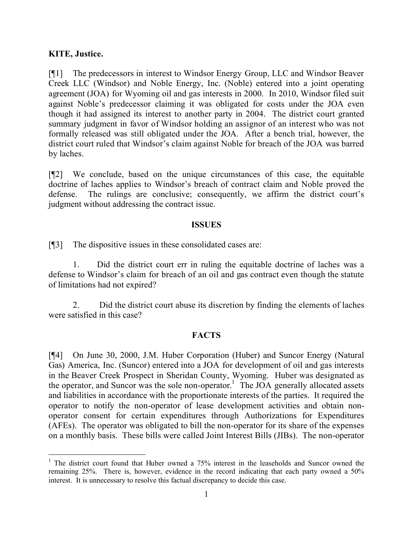## **KITE, Justice.**

[¶1] The predecessors in interest to Windsor Energy Group, LLC and Windsor Beaver Creek LLC (Windsor) and Noble Energy, Inc. (Noble) entered into a joint operating agreement (JOA) for Wyoming oil and gas interests in 2000. In 2010, Windsor filed suit against Noble's predecessor claiming it was obligated for costs under the JOA even though it had assigned its interest to another party in 2004. The district court granted summary judgment in favor of Windsor holding an assignor of an interest who was not formally released was still obligated under the JOA. After a bench trial, however, the district court ruled that Windsor's claim against Noble for breach of the JOA was barred by laches.

[¶2] We conclude, based on the unique circumstances of this case, the equitable doctrine of laches applies to Windsor's breach of contract claim and Noble proved the defense. The rulings are conclusive; consequently, we affirm the district court's judgment without addressing the contract issue.

### **ISSUES**

[¶3] The dispositive issues in these consolidated cases are:

1. Did the district court err in ruling the equitable doctrine of laches was a defense to Windsor's claim for breach of an oil and gas contract even though the statute of limitations had not expired?

2. Did the district court abuse its discretion by finding the elements of laches were satisfied in this case?

### **FACTS**

[¶4] On June 30, 2000, J.M. Huber Corporation (Huber) and Suncor Energy (Natural Gas) America, Inc. (Suncor) entered into a JOA for development of oil and gas interests in the Beaver Creek Prospect in Sheridan County, Wyoming. Huber was designated as the operator, and Suncor was the sole non-operator.<sup>1</sup> The JOA generally allocated assets and liabilities in accordance with the proportionate interests of the parties. It required the operator to notify the non-operator of lease development activities and obtain nonoperator consent for certain expenditures through Authorizations for Expenditures (AFEs). The operator was obligated to bill the non-operator for its share of the expenses on a monthly basis. These bills were called Joint Interest Bills (JIBs). The non-operator

<sup>&</sup>lt;sup>1</sup> The district court found that Huber owned a 75% interest in the leaseholds and Suncor owned the remaining 25%. There is, however, evidence in the record indicating that each party owned a 50% interest. It is unnecessary to resolve this factual discrepancy to decide this case.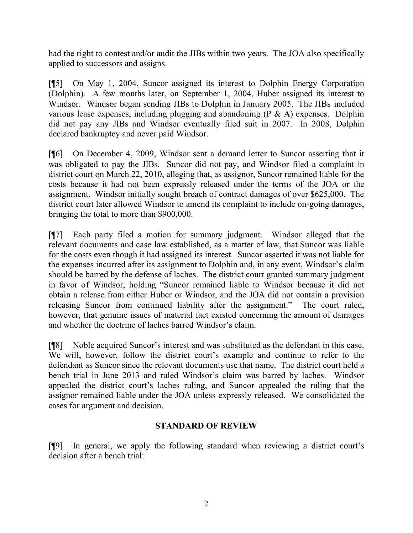had the right to contest and/or audit the JIBs within two years. The JOA also specifically applied to successors and assigns.

[¶5] On May 1, 2004, Suncor assigned its interest to Dolphin Energy Corporation (Dolphin). A few months later, on September 1, 2004, Huber assigned its interest to Windsor. Windsor began sending JIBs to Dolphin in January 2005. The JIBs included various lease expenses, including plugging and abandoning (P & A) expenses. Dolphin did not pay any JIBs and Windsor eventually filed suit in 2007. In 2008, Dolphin declared bankruptcy and never paid Windsor.

[¶6] On December 4, 2009, Windsor sent a demand letter to Suncor asserting that it was obligated to pay the JIBs. Suncor did not pay, and Windsor filed a complaint in district court on March 22, 2010, alleging that, as assignor, Suncor remained liable for the costs because it had not been expressly released under the terms of the JOA or the assignment. Windsor initially sought breach of contract damages of over \$625,000. The district court later allowed Windsor to amend its complaint to include on-going damages, bringing the total to more than \$900,000.

[¶7] Each party filed a motion for summary judgment. Windsor alleged that the relevant documents and case law established, as a matter of law, that Suncor was liable for the costs even though it had assigned its interest. Suncor asserted it was not liable for the expenses incurred after its assignment to Dolphin and, in any event, Windsor's claim should be barred by the defense of laches. The district court granted summary judgment in favor of Windsor, holding "Suncor remained liable to Windsor because it did not obtain a release from either Huber or Windsor, and the JOA did not contain a provision releasing Suncor from continued liability after the assignment." The court ruled, however, that genuine issues of material fact existed concerning the amount of damages and whether the doctrine of laches barred Windsor's claim.

[¶8] Noble acquired Suncor's interest and was substituted as the defendant in this case. We will, however, follow the district court's example and continue to refer to the defendant as Suncor since the relevant documents use that name. The district court held a bench trial in June 2013 and ruled Windsor's claim was barred by laches. Windsor appealed the district court's laches ruling, and Suncor appealed the ruling that the assignor remained liable under the JOA unless expressly released. We consolidated the cases for argument and decision.

# **STANDARD OF REVIEW**

[¶9] In general, we apply the following standard when reviewing a district court's decision after a bench trial: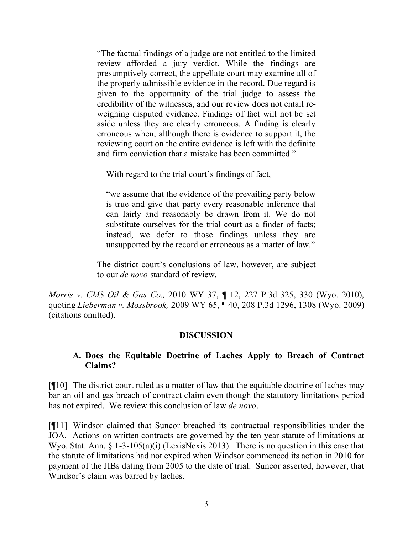"The factual findings of a judge are not entitled to the limited review afforded a jury verdict. While the findings are presumptively correct, the appellate court may examine all of the properly admissible evidence in the record. Due regard is given to the opportunity of the trial judge to assess the credibility of the witnesses, and our review does not entail reweighing disputed evidence. Findings of fact will not be set aside unless they are clearly erroneous. A finding is clearly erroneous when, although there is evidence to support it, the reviewing court on the entire evidence is left with the definite and firm conviction that a mistake has been committed."

With regard to the trial court's findings of fact,

"we assume that the evidence of the prevailing party below is true and give that party every reasonable inference that can fairly and reasonably be drawn from it. We do not substitute ourselves for the trial court as a finder of facts; instead, we defer to those findings unless they are unsupported by the record or erroneous as a matter of law."

The district court's conclusions of law, however, are subject to our *de novo* standard of review.

*Morris v. CMS Oil & Gas Co.,* 2010 WY 37, ¶ 12, 227 P.3d 325, 330 (Wyo. 2010), quoting *Lieberman v. Mossbrook,* 2009 WY 65, ¶ 40, 208 P.3d 1296, 1308 (Wyo. 2009) (citations omitted).

# **DISCUSSION**

## **A. Does the Equitable Doctrine of Laches Apply to Breach of Contract Claims?**

[¶10] The district court ruled as a matter of law that the equitable doctrine of laches may bar an oil and gas breach of contract claim even though the statutory limitations period has not expired. We review this conclusion of law *de novo*.

[¶11] Windsor claimed that Suncor breached its contractual responsibilities under the JOA. Actions on written contracts are governed by the ten year statute of limitations at Wyo. Stat. Ann. § 1-3-105(a)(i) (LexisNexis 2013). There is no question in this case that the statute of limitations had not expired when Windsor commenced its action in 2010 for payment of the JIBs dating from 2005 to the date of trial. Suncor asserted, however, that Windsor's claim was barred by laches.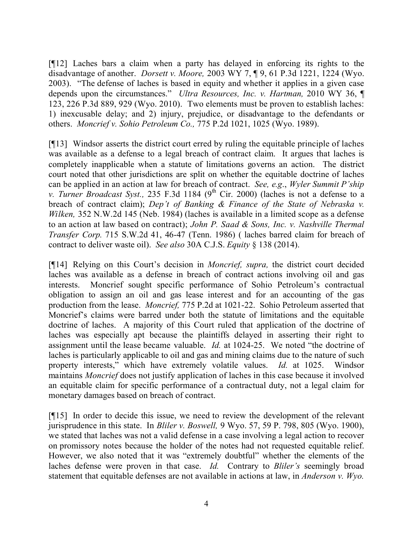[¶12] Laches bars a claim when a party has delayed in enforcing its rights to the disadvantage of another. *Dorsett v. Moore,* 2003 WY 7, ¶ 9, 61 P.3d 1221, 1224 (Wyo. 2003). "The defense of laches is based in equity and whether it applies in a given case depends upon the circumstances." *Ultra Resources, Inc. v. Hartman,* 2010 WY 36, ¶ 123, 226 P.3d 889, 929 (Wyo. 2010). Two elements must be proven to establish laches: 1) inexcusable delay; and 2) injury, prejudice, or disadvantage to the defendants or others. *Moncrief v. Sohio Petroleum Co.,* 775 P.2d 1021, 1025 (Wyo. 1989).

[¶13] Windsor asserts the district court erred by ruling the equitable principle of laches was available as a defense to a legal breach of contract claim. It argues that laches is completely inapplicable when a statute of limitations governs an action. The district court noted that other jurisdictions are split on whether the equitable doctrine of laches can be applied in an action at law for breach of contract. *See, e.g*., *Wyler Summit P'ship v. Turner Broadcast Syst.,* 235 F.3d 1184 (9<sup>th</sup> Cir. 2000) (laches is not a defense to a breach of contract claim); *Dep't of Banking & Finance of the State of Nebraska v. Wilken,* 352 N.W.2d 145 (Neb. 1984) (laches is available in a limited scope as a defense to an action at law based on contract); *John P. Saad & Sons, Inc. v. Nashville Thermal Transfer Corp.* 715 S.W.2d 41, 46-47 (Tenn. 1986) ( laches barred claim for breach of contract to deliver waste oil). *See also* 30A C.J.S. *Equity* § 138 (2014).

[¶14] Relying on this Court's decision in *Moncrief, supra,* the district court decided laches was available as a defense in breach of contract actions involving oil and gas interests. Moncrief sought specific performance of Sohio Petroleum's contractual obligation to assign an oil and gas lease interest and for an accounting of the gas production from the lease. *Moncrief,* 775 P.2d at 1021-22. Sohio Petroleum asserted that Moncrief's claims were barred under both the statute of limitations and the equitable doctrine of laches. A majority of this Court ruled that application of the doctrine of laches was especially apt because the plaintiffs delayed in asserting their right to assignment until the lease became valuable. *Id.* at 1024-25. We noted "the doctrine of laches is particularly applicable to oil and gas and mining claims due to the nature of such property interests," which have extremely volatile values. *Id.* at 1025. Windsor maintains *Moncrief* does not justify application of laches in this case because it involved an equitable claim for specific performance of a contractual duty, not a legal claim for monetary damages based on breach of contract.

[¶15] In order to decide this issue, we need to review the development of the relevant jurisprudence in this state. In *Bliler v. Boswell,* 9 Wyo. 57, 59 P. 798, 805 (Wyo. 1900), we stated that laches was not a valid defense in a case involving a legal action to recover on promissory notes because the holder of the notes had not requested equitable relief. However, we also noted that it was "extremely doubtful" whether the elements of the laches defense were proven in that case. *Id.* Contrary to *Bliler's* seemingly broad statement that equitable defenses are not available in actions at law, in *Anderson v. Wyo.*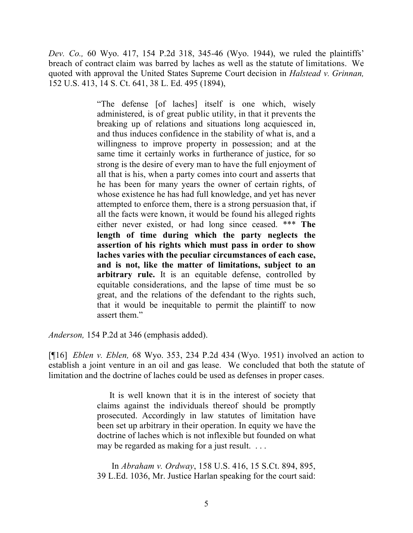*Dev. Co.,* 60 Wyo. 417, 154 P.2d 318, 345-46 (Wyo. 1944), we ruled the plaintiffs' breach of contract claim was barred by laches as well as the statute of limitations. We quoted with approval the United States Supreme Court decision in *Halstead v. Grinnan,*  152 U.S. 413, 14 S. Ct. 641, 38 L. Ed. 495 (1894),

> "The defense [of laches] itself is one which, wisely administered, is of great public utility, in that it prevents the breaking up of relations and situations long acquiesced in, and thus induces confidence in the stability of what is, and a willingness to improve property in possession; and at the same time it certainly works in furtherance of justice, for so strong is the desire of every man to have the full enjoyment of all that is his, when a party comes into court and asserts that he has been for many years the owner of certain rights, of whose existence he has had full knowledge, and yet has never attempted to enforce them, there is a strong persuasion that, if all the facts were known, it would be found his alleged rights either never existed, or had long since ceased. \*\*\* **The length of time during which the party neglects the assertion of his rights which must pass in order to show laches varies with the peculiar circumstances of each case, and is not, like the matter of limitations, subject to an arbitrary rule.** It is an equitable defense, controlled by equitable considerations, and the lapse of time must be so great, and the relations of the defendant to the rights such, that it would be inequitable to permit the plaintiff to now assert them."

*Anderson,* 154 P.2d at 346 (emphasis added).

[¶16] *Eblen v. Eblen,* 68 Wyo. 353, 234 P.2d 434 (Wyo. 1951) involved an action to establish a joint venture in an oil and gas lease. We concluded that both the statute of limitation and the doctrine of laches could be used as defenses in proper cases.

> It is well known that it is in the interest of society that claims against the individuals thereof should be promptly prosecuted. Accordingly in law statutes of limitation have been set up arbitrary in their operation. In equity we have the doctrine of laches which is not inflexible but founded on what may be regarded as making for a just result. ...

> In *Abraham v. Ordway*, 158 U.S. 416, 15 S.Ct. 894, 895, 39 L.Ed. 1036, Mr. Justice Harlan speaking for the court said: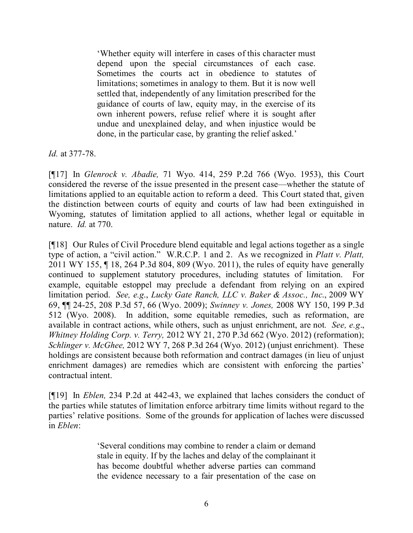'Whether equity will interfere in cases of this character must depend upon the special circumstances of each case. Sometimes the courts act in obedience to statutes of limitations; sometimes in analogy to them. But it is now well settled that, independently of any limitation prescribed for the guidance of courts of law, equity may, in the exercise of its own inherent powers, refuse relief where it is sought after undue and unexplained delay, and when injustice would be done, in the particular case, by granting the relief asked.'

*Id.* at 377-78.

[¶17] In *Glenrock v. Abadie,* 71 Wyo. 414, 259 P.2d 766 (Wyo. 1953), this Court considered the reverse of the issue presented in the present case—whether the statute of limitations applied to an equitable action to reform a deed. This Court stated that, given the distinction between courts of equity and courts of law had been extinguished in Wyoming, statutes of limitation applied to all actions, whether legal or equitable in nature. *Id.* at 770.

[¶18] Our Rules of Civil Procedure blend equitable and legal actions together as a single type of action, a "civil action." W.R.C.P. 1 and 2. As we recognized in *Platt v. Platt,*  2011 WY 155, ¶ 18, 264 P.3d 804, 809 (Wyo. 2011), the rules of equity have generally continued to supplement statutory procedures, including statutes of limitation. For example, equitable estoppel may preclude a defendant from relying on an expired limitation period. *See, e.g*., *Lucky Gate Ranch, LLC v. Baker & Assoc., Inc*., 2009 WY 69, ¶¶ 24-25, 208 P.3d 57, 66 (Wyo. 2009); *Swinney v. Jones,* 2008 WY 150, 199 P.3d 512 (Wyo. 2008). In addition, some equitable remedies, such as reformation, are available in contract actions, while others, such as unjust enrichment, are not*. See, e.g*., *Whitney Holding Corp. v. Terry,* 2012 WY 21, 270 P.3d 662 (Wyo. 2012) (reformation); *Schlinger v. McGhee,* 2012 WY 7, 268 P.3d 264 (Wyo. 2012) (unjust enrichment). These holdings are consistent because both reformation and contract damages (in lieu of unjust enrichment damages) are remedies which are consistent with enforcing the parties' contractual intent.

[¶19] In *Eblen,* 234 P.2d at 442-43, we explained that laches considers the conduct of the parties while statutes of limitation enforce arbitrary time limits without regard to the parties' relative positions. Some of the grounds for application of laches were discussed in *Eblen*:

> 'Several conditions may combine to render a claim or demand stale in equity. If by the laches and delay of the complainant it has become doubtful whether adverse parties can command the evidence necessary to a fair presentation of the case on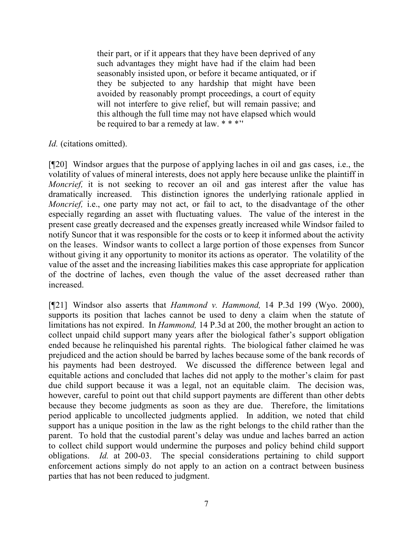their part, or if it appears that they have been deprived of any such advantages they might have had if the claim had been seasonably insisted upon, or before it became antiquated, or if they be subjected to any hardship that might have been avoided by reasonably prompt proceedings, a court of equity will not interfere to give relief, but will remain passive; and this although the full time may not have elapsed which would be required to bar a remedy at law. \* \* \*''

*Id.* (citations omitted).

[¶20] Windsor argues that the purpose of applying laches in oil and gas cases, i.e., the volatility of values of mineral interests, does not apply here because unlike the plaintiff in *Moncrief*, it is not seeking to recover an oil and gas interest after the value has dramatically increased. This distinction ignores the underlying rationale applied in *Moncrief, i.e., one party may not act, or fail to act, to the disadvantage of the other* especially regarding an asset with fluctuating values. The value of the interest in the present case greatly decreased and the expenses greatly increased while Windsor failed to notify Suncor that it was responsible for the costs or to keep it informed about the activity on the leases. Windsor wants to collect a large portion of those expenses from Suncor without giving it any opportunity to monitor its actions as operator. The volatility of the value of the asset and the increasing liabilities makes this case appropriate for application of the doctrine of laches, even though the value of the asset decreased rather than increased.

[¶21] Windsor also asserts that *Hammond v. Hammond,* 14 P.3d 199 (Wyo. 2000), supports its position that laches cannot be used to deny a claim when the statute of limitations has not expired. In *Hammond,* 14 P.3d at 200, the mother brought an action to collect unpaid child support many years after the biological father's support obligation ended because he relinquished his parental rights. The biological father claimed he was prejudiced and the action should be barred by laches because some of the bank records of his payments had been destroyed. We discussed the difference between legal and equitable actions and concluded that laches did not apply to the mother's claim for past due child support because it was a legal, not an equitable claim. The decision was, however, careful to point out that child support payments are different than other debts because they become judgments as soon as they are due. Therefore, the limitations period applicable to uncollected judgments applied. In addition, we noted that child support has a unique position in the law as the right belongs to the child rather than the parent. To hold that the custodial parent's delay was undue and laches barred an action to collect child support would undermine the purposes and policy behind child support obligations. *Id.* at 200-03. The special considerations pertaining to child support enforcement actions simply do not apply to an action on a contract between business parties that has not been reduced to judgment.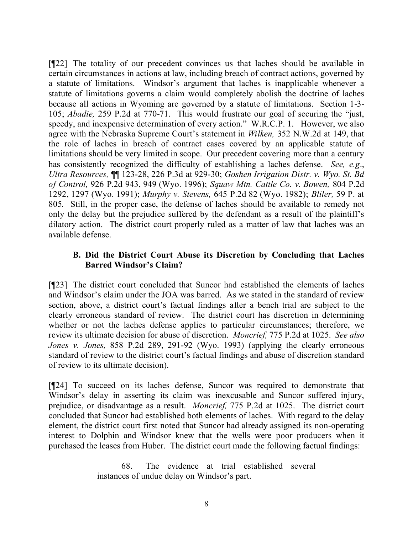[¶22] The totality of our precedent convinces us that laches should be available in certain circumstances in actions at law, including breach of contract actions, governed by a statute of limitations. Windsor's argument that laches is inapplicable whenever a statute of limitations governs a claim would completely abolish the doctrine of laches because all actions in Wyoming are governed by a statute of limitations. Section 1-3- 105; *Abadie,* 259 P.2d at 770-71. This would frustrate our goal of securing the "just, speedy, and inexpensive determination of every action." W.R.C.P. 1. However, we also agree with the Nebraska Supreme Court's statement in *Wilken,* 352 N.W.2d at 149, that the role of laches in breach of contract cases covered by an applicable statute of limitations should be very limited in scope. Our precedent covering more than a century has consistently recognized the difficulty of establishing a laches defense. *See, e.g*., *Ultra Resources,* ¶¶ 123-28, 226 P.3d at 929-30; *Goshen Irrigation Distr. v. Wyo. St. Bd of Control,* 926 P.2d 943, 949 (Wyo. 1996); *Squaw Mtn. Cattle Co. v. Bowen,* 804 P.2d 1292, 1297 (Wyo. 1991); *Murphy v. Stevens,* 645 P.2d 82 (Wyo. 1982); *Bliler,* 59 P. at 805*.* Still, in the proper case, the defense of laches should be available to remedy not only the delay but the prejudice suffered by the defendant as a result of the plaintiff's dilatory action. The district court properly ruled as a matter of law that laches was an available defense.

# **B. Did the District Court Abuse its Discretion by Concluding that Laches Barred Windsor's Claim?**

[¶23] The district court concluded that Suncor had established the elements of laches and Windsor's claim under the JOA was barred. As we stated in the standard of review section, above, a district court's factual findings after a bench trial are subject to the clearly erroneous standard of review. The district court has discretion in determining whether or not the laches defense applies to particular circumstances; therefore, we review its ultimate decision for abuse of discretion. *Moncrief,* 775 P.2d at 1025. *See also Jones v. Jones,* 858 P.2d 289, 291-92 (Wyo. 1993) (applying the clearly erroneous standard of review to the district court's factual findings and abuse of discretion standard of review to its ultimate decision).

[¶24] To succeed on its laches defense, Suncor was required to demonstrate that Windsor's delay in asserting its claim was inexcusable and Suncor suffered injury, prejudice, or disadvantage as a result. *Moncrief,* 775 P.2d at 1025. The district court concluded that Suncor had established both elements of laches. With regard to the delay element, the district court first noted that Suncor had already assigned its non-operating interest to Dolphin and Windsor knew that the wells were poor producers when it purchased the leases from Huber. The district court made the following factual findings:

> 68. The evidence at trial established several instances of undue delay on Windsor's part.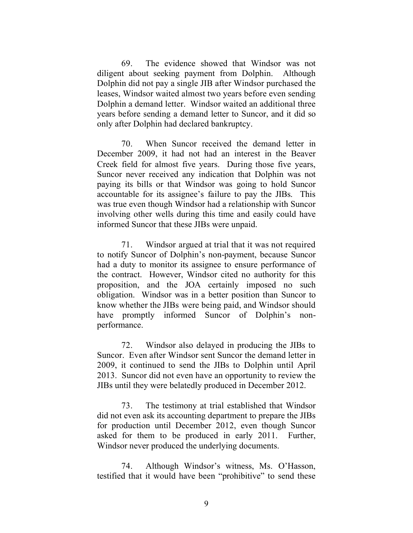69. The evidence showed that Windsor was not diligent about seeking payment from Dolphin. Although Dolphin did not pay a single JIB after Windsor purchased the leases, Windsor waited almost two years before even sending Dolphin a demand letter. Windsor waited an additional three years before sending a demand letter to Suncor, and it did so only after Dolphin had declared bankruptcy.

70. When Suncor received the demand letter in December 2009, it had not had an interest in the Beaver Creek field for almost five years. During those five years, Suncor never received any indication that Dolphin was not paying its bills or that Windsor was going to hold Suncor accountable for its assignee's failure to pay the JIBs. This was true even though Windsor had a relationship with Suncor involving other wells during this time and easily could have informed Suncor that these JIBs were unpaid.

71. Windsor argued at trial that it was not required to notify Suncor of Dolphin's non-payment, because Suncor had a duty to monitor its assignee to ensure performance of the contract. However, Windsor cited no authority for this proposition, and the JOA certainly imposed no such obligation. Windsor was in a better position than Suncor to know whether the JIBs were being paid, and Windsor should have promptly informed Suncor of Dolphin's nonperformance.

72. Windsor also delayed in producing the JIBs to Suncor. Even after Windsor sent Suncor the demand letter in 2009, it continued to send the JIBs to Dolphin until April 2013. Suncor did not even have an opportunity to review the JIBs until they were belatedly produced in December 2012.

73. The testimony at trial established that Windsor did not even ask its accounting department to prepare the JIBs for production until December 2012, even though Suncor asked for them to be produced in early 2011. Further, Windsor never produced the underlying documents.

74. Although Windsor's witness, Ms. O'Hasson, testified that it would have been "prohibitive" to send these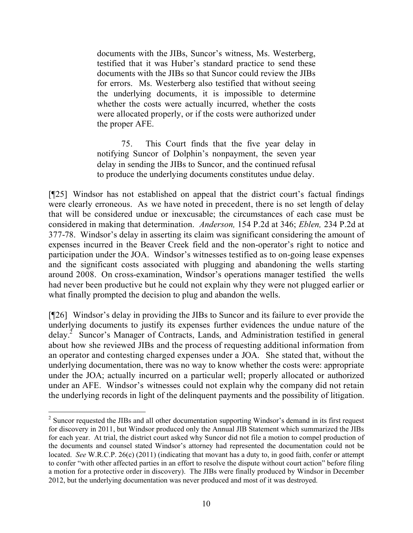documents with the JIBs, Suncor's witness, Ms. Westerberg, testified that it was Huber's standard practice to send these documents with the JIBs so that Suncor could review the JIBs for errors. Ms. Westerberg also testified that without seeing the underlying documents, it is impossible to determine whether the costs were actually incurred, whether the costs were allocated properly, or if the costs were authorized under the proper AFE.

75. This Court finds that the five year delay in notifying Suncor of Dolphin's nonpayment, the seven year delay in sending the JIBs to Suncor, and the continued refusal to produce the underlying documents constitutes undue delay.

[¶25] Windsor has not established on appeal that the district court's factual findings were clearly erroneous. As we have noted in precedent, there is no set length of delay that will be considered undue or inexcusable; the circumstances of each case must be considered in making that determination. *Anderson,* 154 P.2d at 346; *Eblen,* 234 P.2d at 377-78. Windsor's delay in asserting its claim was significant considering the amount of expenses incurred in the Beaver Creek field and the non-operator's right to notice and participation under the JOA. Windsor's witnesses testified as to on-going lease expenses and the significant costs associated with plugging and abandoning the wells starting around 2008. On cross-examination, Windsor's operations manager testified the wells had never been productive but he could not explain why they were not plugged earlier or what finally prompted the decision to plug and abandon the wells.

[¶26] Windsor's delay in providing the JIBs to Suncor and its failure to ever provide the underlying documents to justify its expenses further evidences the undue nature of the delay.<sup>2</sup> Suncor's Manager of Contracts, Lands, and Administration testified in general about how she reviewed JIBs and the process of requesting additional information from an operator and contesting charged expenses under a JOA. She stated that, without the underlying documentation, there was no way to know whether the costs were: appropriate under the JOA; actually incurred on a particular well; properly allocated or authorized under an AFE. Windsor's witnesses could not explain why the company did not retain the underlying records in light of the delinquent payments and the possibility of litigation.

 $2^2$  Suncor requested the JIBs and all other documentation supporting Windsor's demand in its first request for discovery in 2011, but Windsor produced only the Annual JIB Statement which summarized the JIBs for each year. At trial, the district court asked why Suncor did not file a motion to compel production of the documents and counsel stated Windsor's attorney had represented the documentation could not be located. *See* W.R.C.P. 26(c) (2011) (indicating that movant has a duty to, in good faith, confer or attempt to confer "with other affected parties in an effort to resolve the dispute without court action" before filing a motion for a protective order in discovery). The JIBs were finally produced by Windsor in December 2012, but the underlying documentation was never produced and most of it was destroyed.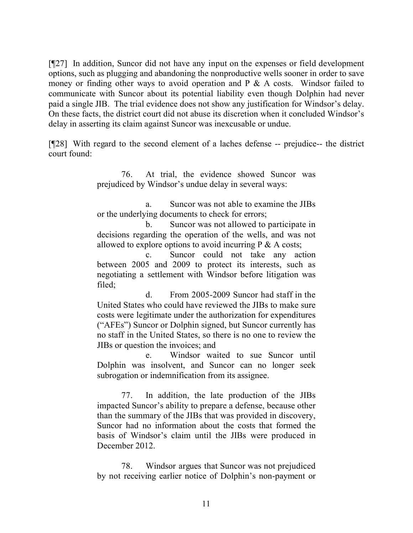[¶27] In addition, Suncor did not have any input on the expenses or field development options, such as plugging and abandoning the nonproductive wells sooner in order to save money or finding other ways to avoid operation and  $P \& A \text{ costs.}$  Windsor failed to communicate with Suncor about its potential liability even though Dolphin had never paid a single JIB. The trial evidence does not show any justification for Windsor's delay. On these facts, the district court did not abuse its discretion when it concluded Windsor's delay in asserting its claim against Suncor was inexcusable or undue.

[¶28] With regard to the second element of a laches defense -- prejudice-- the district court found:

> 76. At trial, the evidence showed Suncor was prejudiced by Windsor's undue delay in several ways:

> a. Suncor was not able to examine the JIBs or the underlying documents to check for errors;

> b. Suncor was not allowed to participate in decisions regarding the operation of the wells, and was not allowed to explore options to avoid incurring  $P \& A \text{ costs}$ ;

> c. Suncor could not take any action between 2005 and 2009 to protect its interests, such as negotiating a settlement with Windsor before litigation was filed;

> d. From 2005-2009 Suncor had staff in the United States who could have reviewed the JIBs to make sure costs were legitimate under the authorization for expenditures ("AFEs") Suncor or Dolphin signed, but Suncor currently has no staff in the United States, so there is no one to review the JIBs or question the invoices; and

> e. Windsor waited to sue Suncor until Dolphin was insolvent, and Suncor can no longer seek subrogation or indemnification from its assignee.

> 77. In addition, the late production of the JIBs impacted Suncor's ability to prepare a defense, because other than the summary of the JIBs that was provided in discovery, Suncor had no information about the costs that formed the basis of Windsor's claim until the JIBs were produced in December 2012.

> 78. Windsor argues that Suncor was not prejudiced by not receiving earlier notice of Dolphin's non-payment or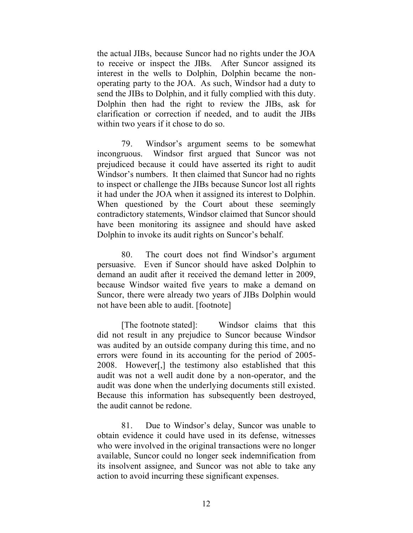the actual JIBs, because Suncor had no rights under the JOA to receive or inspect the JIBs. After Suncor assigned its interest in the wells to Dolphin, Dolphin became the nonoperating party to the JOA. As such, Windsor had a duty to send the JIBs to Dolphin, and it fully complied with this duty. Dolphin then had the right to review the JIBs, ask for clarification or correction if needed, and to audit the JIBs within two years if it chose to do so.

79. Windsor's argument seems to be somewhat incongruous. Windsor first argued that Suncor was not prejudiced because it could have asserted its right to audit Windsor's numbers. It then claimed that Suncor had no rights to inspect or challenge the JIBs because Suncor lost all rights it had under the JOA when it assigned its interest to Dolphin. When questioned by the Court about these seemingly contradictory statements, Windsor claimed that Suncor should have been monitoring its assignee and should have asked Dolphin to invoke its audit rights on Suncor's behalf.

80. The court does not find Windsor's argument persuasive. Even if Suncor should have asked Dolphin to demand an audit after it received the demand letter in 2009, because Windsor waited five years to make a demand on Suncor, there were already two years of JIBs Dolphin would not have been able to audit. [footnote]

[The footnote stated]: Windsor claims that this did not result in any prejudice to Suncor because Windsor was audited by an outside company during this time, and no errors were found in its accounting for the period of 2005- 2008. However[,] the testimony also established that this audit was not a well audit done by a non-operator, and the audit was done when the underlying documents still existed. Because this information has subsequently been destroyed, the audit cannot be redone.

81. Due to Windsor's delay, Suncor was unable to obtain evidence it could have used in its defense, witnesses who were involved in the original transactions were no longer available, Suncor could no longer seek indemnification from its insolvent assignee, and Suncor was not able to take any action to avoid incurring these significant expenses.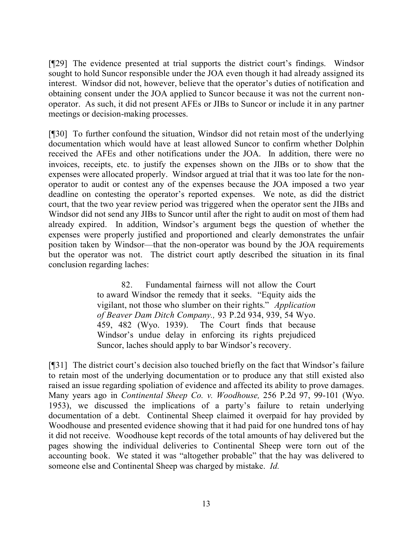[¶29] The evidence presented at trial supports the district court's findings. Windsor sought to hold Suncor responsible under the JOA even though it had already assigned its interest. Windsor did not, however, believe that the operator's duties of notification and obtaining consent under the JOA applied to Suncor because it was not the current nonoperator. As such, it did not present AFEs or JIBs to Suncor or include it in any partner meetings or decision-making processes.

[¶30] To further confound the situation, Windsor did not retain most of the underlying documentation which would have at least allowed Suncor to confirm whether Dolphin received the AFEs and other notifications under the JOA. In addition, there were no invoices, receipts, etc. to justify the expenses shown on the JIBs or to show that the expenses were allocated properly. Windsor argued at trial that it was too late for the nonoperator to audit or contest any of the expenses because the JOA imposed a two year deadline on contesting the operator's reported expenses. We note, as did the district court, that the two year review period was triggered when the operator sent the JIBs and Windsor did not send any JIBs to Suncor until after the right to audit on most of them had already expired. In addition, Windsor's argument begs the question of whether the expenses were properly justified and proportioned and clearly demonstrates the unfair position taken by Windsor—that the non-operator was bound by the JOA requirements but the operator was not. The district court aptly described the situation in its final conclusion regarding laches:

> 82. Fundamental fairness will not allow the Court to award Windsor the remedy that it seeks. "Equity aids the vigilant, not those who slumber on their rights." *Application of Beaver Dam Ditch Company.,* 93 P.2d 934, 939, 54 Wyo. 459, 482 (Wyo. 1939). The Court finds that because Windsor's undue delay in enforcing its rights prejudiced Suncor, laches should apply to bar Windsor's recovery.

[¶31] The district court's decision also touched briefly on the fact that Windsor's failure to retain most of the underlying documentation or to produce any that still existed also raised an issue regarding spoliation of evidence and affected its ability to prove damages. Many years ago in *Continental Sheep Co. v. Woodhouse,* 256 P.2d 97, 99-101 (Wyo. 1953), we discussed the implications of a party's failure to retain underlying documentation of a debt. Continental Sheep claimed it overpaid for hay provided by Woodhouse and presented evidence showing that it had paid for one hundred tons of hay it did not receive. Woodhouse kept records of the total amounts of hay delivered but the pages showing the individual deliveries to Continental Sheep were torn out of the accounting book. We stated it was "altogether probable" that the hay was delivered to someone else and Continental Sheep was charged by mistake. *Id.*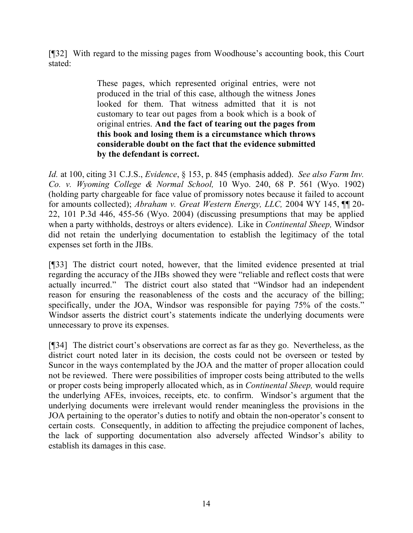[¶32] With regard to the missing pages from Woodhouse's accounting book, this Court stated:

> These pages, which represented original entries, were not produced in the trial of this case, although the witness Jones looked for them. That witness admitted that it is not customary to tear out pages from a book which is a book of original entries. **And the fact of tearing out the pages from this book and losing them is a circumstance which throws considerable doubt on the fact that the evidence submitted by the defendant is correct.**

*Id.* at 100, citing 31 C.J.S., *Evidence*, § 153, p. 845 (emphasis added). *See also Farm Inv. Co. v. Wyoming College & Normal School,* 10 Wyo. 240, 68 P. 561 (Wyo. 1902) (holding party chargeable for face value of promissory notes because it failed to account for amounts collected); *Abraham v. Great Western Energy, LLC,* 2004 WY 145, ¶¶ 20- 22, 101 P.3d 446, 455-56 (Wyo. 2004) (discussing presumptions that may be applied when a party withholds, destroys or alters evidence). Like in *Continental Sheep,* Windsor did not retain the underlying documentation to establish the legitimacy of the total expenses set forth in the JIBs.

[¶33] The district court noted, however, that the limited evidence presented at trial regarding the accuracy of the JIBs showed they were "reliable and reflect costs that were actually incurred." The district court also stated that "Windsor had an independent reason for ensuring the reasonableness of the costs and the accuracy of the billing; specifically, under the JOA, Windsor was responsible for paying 75% of the costs." Windsor asserts the district court's statements indicate the underlying documents were unnecessary to prove its expenses.

[¶34] The district court's observations are correct as far as they go. Nevertheless, as the district court noted later in its decision, the costs could not be overseen or tested by Suncor in the ways contemplated by the JOA and the matter of proper allocation could not be reviewed. There were possibilities of improper costs being attributed to the wells or proper costs being improperly allocated which, as in *Continental Sheep,* would require the underlying AFEs, invoices, receipts, etc. to confirm. Windsor's argument that the underlying documents were irrelevant would render meaningless the provisions in the JOA pertaining to the operator's duties to notify and obtain the non-operator's consent to certain costs. Consequently, in addition to affecting the prejudice component of laches, the lack of supporting documentation also adversely affected Windsor's ability to establish its damages in this case.